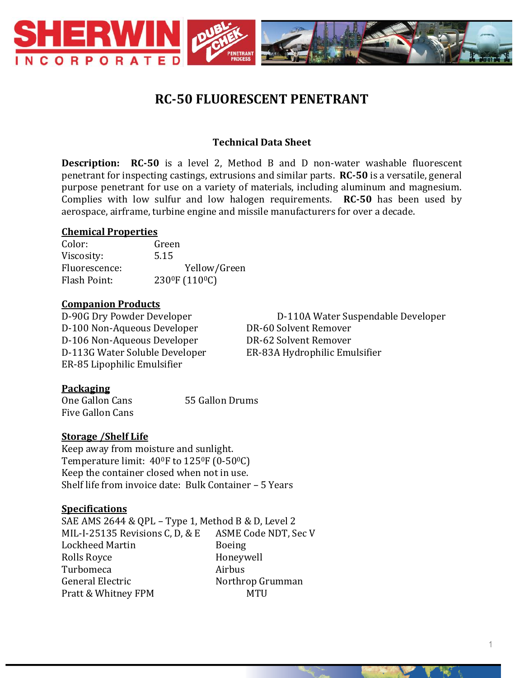

# **RC-50 FLUORESCENT PENETRANT**

## **Technical Data Sheet**

**Description: RC-50** is a level 2, Method B and D non-water washable fluorescent penetrant for inspecting castings, extrusions and similar parts. **RC-50** is a versatile, general purpose penetrant for use on a variety of materials, including aluminum and magnesium. Complies with low sulfur and low halogen requirements. **RC-50** has been used by aerospace, airframe, turbine engine and missile manufacturers for over a decade.

## **Chemical Properties**

Color: Green Viscosity: 5.15 Fluorescence: Yellow/Green Flash Point: 230<sup>0</sup>F (110<sup>0</sup>C)

#### **Companion Products**

D-100 Non-Aqueous Developer DR-60 Solvent Remover D-106 Non-Aqueous Developer DR-62 Solvent Remover D-113G Water Soluble Developer ER-83A Hydrophilic Emulsifier ER-85 Lipophilic Emulsifier

D-90G Dry Powder Developer D-110A Water Suspendable Developer

#### **Packaging**

One Gallon Cans 55 Gallon Drums Five Gallon Cans

#### **Storage /Shelf Life**

Keep away from moisture and sunlight. Temperature limit: 40<sup>o</sup>F to 125<sup>o</sup>F (0-50<sup>o</sup>C) Keep the container closed when not in use. Shelf life from invoice date: Bulk Container – 5 Years

#### **Specifications**

SAE AMS 2644 & QPL – Type 1, Method B & D, Level 2 MIL-I-25135 Revisions C, D, & E ASME Code NDT, Sec V Lockheed Martin Boeing Rolls Royce **Honeywell** Turbomeca Airbus General Electric Northrop Grumman Pratt & Whitney FPM MTU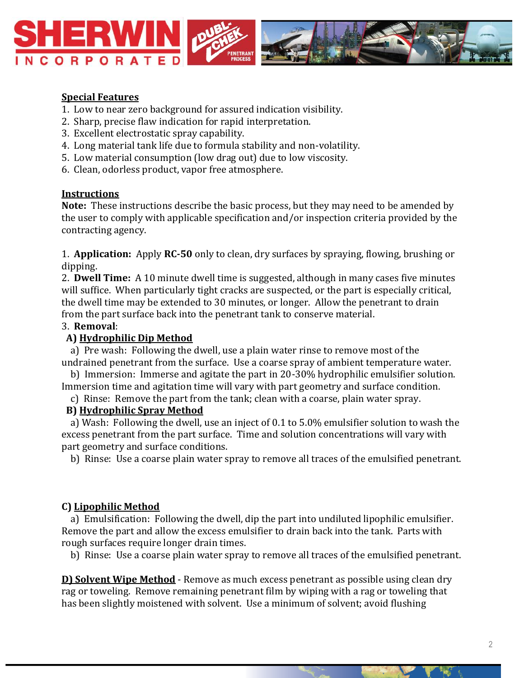

## **Special Features**

- 1. Low to near zero background for assured indication visibility.
- 2. Sharp, precise flaw indication for rapid interpretation.
- 3. Excellent electrostatic spray capability.
- 4. Long material tank life due to formula stability and non-volatility.
- 5. Low material consumption (low drag out) due to low viscosity.
- 6. Clean, odorless product, vapor free atmosphere.

## **Instructions**

**Note:** These instructions describe the basic process, but they may need to be amended by the user to comply with applicable specification and/or inspection criteria provided by the contracting agency.

1. **Application:** Apply **RC-50** only to clean, dry surfaces by spraying, flowing, brushing or dipping.

2. **Dwell Time:** A 10 minute dwell time is suggested, although in many cases five minutes will suffice. When particularly tight cracks are suspected, or the part is especially critical, the dwell time may be extended to 30 minutes, or longer. Allow the penetrant to drain from the part surface back into the penetrant tank to conserve material.

## 3. **Removal**:

## **A) Hydrophilic Dip Method**

 a) Pre wash: Following the dwell, use a plain water rinse to remove most of the undrained penetrant from the surface. Use a coarse spray of ambient temperature water.

 b) Immersion: Immerse and agitate the part in 20-30% hydrophilic emulsifier solution. Immersion time and agitation time will vary with part geometry and surface condition.

c) Rinse: Remove the part from the tank; clean with a coarse, plain water spray.

## **B) Hydrophilic Spray Method**

 a) Wash: Following the dwell, use an inject of 0.1 to 5.0% emulsifier solution to wash the excess penetrant from the part surface. Time and solution concentrations will vary with part geometry and surface conditions.

b) Rinse: Use a coarse plain water spray to remove all traces of the emulsified penetrant.

#### **C) Lipophilic Method**

 a) Emulsification: Following the dwell, dip the part into undiluted lipophilic emulsifier. Remove the part and allow the excess emulsifier to drain back into the tank. Parts with rough surfaces require longer drain times.

b) Rinse: Use a coarse plain water spray to remove all traces of the emulsified penetrant.

**D) Solvent Wipe Method** - Remove as much excess penetrant as possible using clean dry rag or toweling. Remove remaining penetrant film by wiping with a rag or toweling that has been slightly moistened with solvent. Use a minimum of solvent; avoid flushing